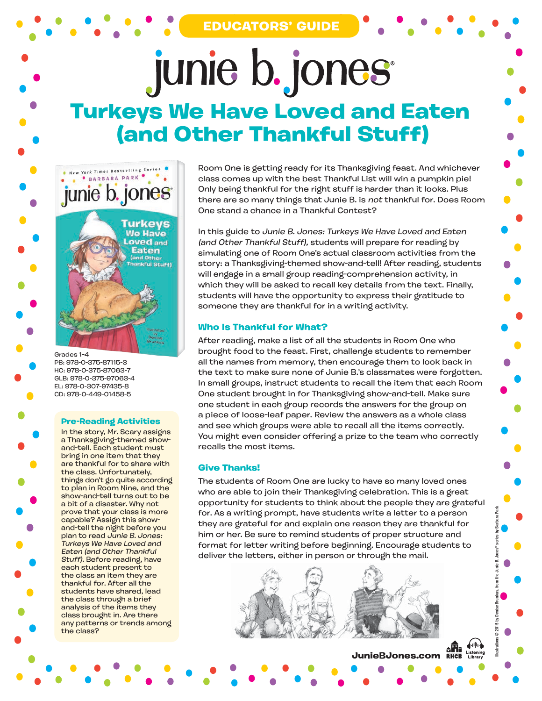## junie b. jones **Turkeys We Have Loved and Eaten (and Other Thankful Stuff)**



Grades 1–4 PB: 978-0-375-87115-3 HC: 978-0-375-87063-7 GLB: 978-0-375-97063-4 EL: 978-0-307-97435-8 CD: 978-0-449-01458-5

## **Pre-Reading Activities**

In the story, Mr. Scary assigns a Thanksgiving-themed showand-tell. Each student must bring in one item that they are thankful for to share with the class. Unfortunately, things don't go quite according to plan in Room Nine, and the show-and-tell turns out to be a bit of a disaster. Why not prove that your class is more capable? Assign this showand-tell the night before you plan to read Junie B. Jones: Turkeys We Have Loved and Eaten (and Other Thankful Stuff). Before reading, have each student present to the class an item they are thankful for. After all the students have shared, lead the class through a brief analysis of the items they class brought in. Are there any patterns or trends among the class?

Room One is getting ready for its Thanksgiving feast. And whichever class comes up with the best Thankful List will win a pumpkin pie! Only being thankful for the right stuff is harder than it looks. Plus there are so many things that Junie B. is not thankful for. Does Room One stand a chance in a Thankful Contest?

In this guide to Junie B. Jones: Turkeys We Have Loved and Eaten (and Other Thankful Stuff), students will prepare for reading by simulating one of Room One's actual classroom activities from the story: a Thanksgiving-themed show-and-tell! After reading, students will engage in a small group reading-comprehension activity, in which they will be asked to recall key details from the text. Finally, students will have the opportunity to express their gratitude to someone they are thankful for in a writing activity.

## **Who Is Thankful for What?**

After reading, make a list of all the students in Room One who brought food to the feast. First, challenge students to remember all the names from memory, then encourage them to look back in the text to make sure none of Junie B.'s classmates were forgotten. In small groups, instruct students to recall the item that each Room One student brought in for Thanksgiving show-and-tell. Make sure one student in each group records the answers for the group on a piece of loose-leaf paper. Review the answers as a whole class and see which groups were able to recall all the items correctly. You might even consider offering a prize to the team who correctly recalls the most items.

## **Give Thanks!**

The students of Room One are lucky to have so many loved ones who are able to join their Thanksgiving celebration. This is a great opportunity for students to think about the people they are grateful for. As a writing prompt, have students write a letter to a person they are grateful for and explain one reason they are thankful for him or her. Be sure to remind students of proper structure and format for letter writing before beginning. Encourage students to deliver the letters, either in person or through the mail.

**JunieBJones.com**<br>JunieBJones.com

Illustrations © 2015 by Denise Brunkus, from the Junie B. Jones® series by Barbara Park